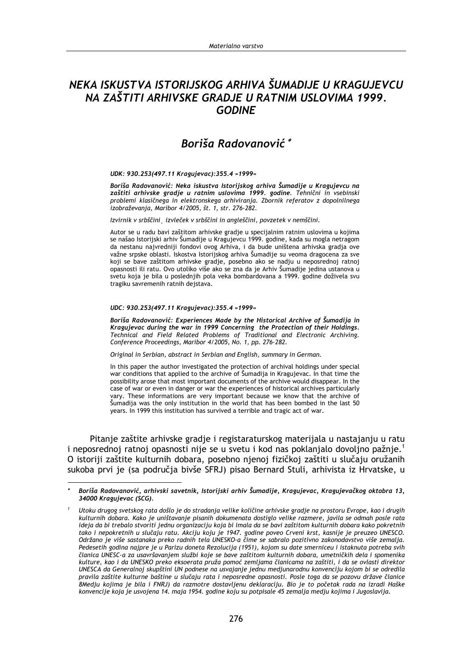# NEKA ISKUSTVA ISTORIJSKOG ARHIVA ŠUMADIJE U KRAGUJEVCU NA ZAŠTITI ARHIVSKE GRADJE U RATNIM USLOVIMA 1999. **GODINE**

# Boriša Radovanović\*

#### UDK: 930.253(497.11 Kragujevac):355.4 »1999«

Boriša Radovanović: Neka iskustva Istorijskog arhiva Šumadije u Kragujevcu na zaštiti arhivske gradje u ratnim uslovima 1999. godine. Tehnični in vsebinski problemi klasičnega in elektronskega arhiviranja. Zbornik referatov z dopolnilnega izobraževanja, Maribor 4/2005, št. 1, str. 276-282.

Izvirnik v srbščini izvleček v srbščini in angleščini, povzetek v nemščini.

Autor se u radu bavi zaštitom arhivske gradje u specijalnim ratnim uslovima u kojima se našao Istorijski arhiv Šumadije u Kragujevcu 1999. godine, kada su mogla netragom da nestanu najvredniji fondovi ovog Arhiva, i da bude uništena arhivska gradja ove važne srpske oblasti. Iskostva Istorijskog arhiva Šumadije su veoma dragocena za sve koji se bave zaštitom arhivske gradje, posebno ako se nadju u neposrednoj ratnoj opasnosti ili ratu. Ovo utoliko više ako se zna da je Arhiv Šumadije jedina ustanova u svetu koja je bila u poslednijih pola veka bombardovana a 1999. godine doživela svu tragiku savremenih ratnih dejstava.

#### UDC: 930.253(497.11 Kragujevac):355.4 »1999«

Boriša Radovanović: Experiences Made by the Historical Archive of Šumadija in Kragujevac during the war in 1999 Concerning the Protection of their Holdings. Technical and Field Related Problems of Traditional and Electronic Archiving. Conference Proceedings, Maribor 4/2005, No. 1, pp. 276-282.

Original in Serbian, abstract in Serbian and English, summary in German.

In this paper the author investigated the protection of archival holdings under special war conditions that applied to the archive of Šumadija in Kragujevac. In that time the possibility arose that most important documents of the archive would disappear. In the case of war or even in danger or war the experiences of historical archives particularly vary. These informations are very important because we know that the archive of Šumadija was the only institution in the world that has been bombed in the last 50 years. In 1999 this institution has survived a terrible and tragic act of war.

Pitanje zaštite arhivske gradje i registaraturskog materijala u nastajanju u ratu i neposrednoj ratnoj opasnosti nije se u svetu i kod nas poklanjalo dovoljno pažnje.<sup>1</sup> O istoriji zaštite kulturnih dobara, posebno njenoj fizičkoj zaštiti u slučaju oružanih sukoba prvi je (sa područia bivše SFRJ) pisao Bernard Stuli, arhivista iz Hrvatske, u

Boriša Radovanović, arhivski savetnik, Istorijski arhiv Šumadije, Kragujevac, Kragujevačkog oktobra 13, 34000 Kragujevac (SCG).

Utoku drugog svetskog rata došlo je do stradanja velike količine arhivske gradje na prostoru Evrope, kao i drugih kulturnih dobara. Kako je uništavanje pisanih dokumenata dostiglo velike razmere, javila se odmah posle rata ideja da bi trebalo stvoriti jednu organizaciju koja bi imala da se bavi zaštitom kulturnih dobara kako pokretnih tako i nepokretnih u slučaju ratu. Akciju koju je 1947. godine poveo Crveni krst, kasnije je preuzeo UNESCO. Održano je više sastanaka preko radnih tela UNESKO-a čime se sabralo pozitivno zakonodavstvo više zemalja. Pedesetih godina najpre je u Parizu doneta Rezolucija (1951), kojom su date smerniceu i istaknuta potreba svih članica UNESC-a za usavršavanjem službi koje se bave zaštitom kulturnih dobara, umetničkih dela i spomenika kulture, kao i da UNESKO preko eksoerata pruža pomoć zemljama članicama na zaštiti, i da se ovlasti direktor UNESCA da Generalnoj skupštini UN podnese na usvajanje jednu medjunarodnu konvenciju kojom bi se odredila pravila zaštite kulturne baštine u slučaju rata i neposredne opasnosti. Posle toga da se pozovu države članice .<br>8Medju kojima je bila i FNRJ) da razmotre dostavljenu deklaraciju. Bio je to početak rada na izradi Haške konvencije koja je usvojena 14. maja 1954. godine koju su potpisale 45 zemalja medju kojima i Jugoslavija.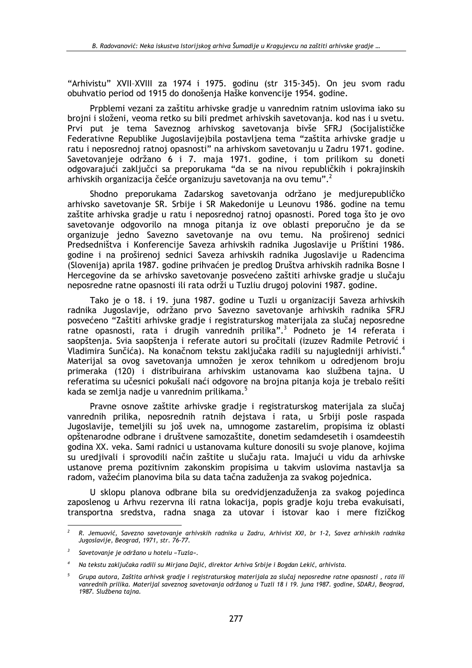"Arhivistu" XVII-XVIII za 1974 i 1975. godinu (str 315-345). On jeu svom radu obuhvatio period od 1915 do donošenia Haške konvencije 1954. godine.

Prpblemi vezani za zaštitu arhivske gradje u vanrednim ratnim uslovima iako su brojni i složeni, veoma retko su bili predmet arhivskih savetovania, kod nas i u svetu. Prvi put je tema Saveznog arhivskog savetovanja bivše SFRJ (Socijalističke Federativne Republike Jugoslavije) bila postavljena tema "zaštita arhivske gradje u ratu i neposrednoj ratnoj opasnosti" na arhivskom savetovanju u Zadru 1971. godine. Savetovanjeje održano 6 i 7. maja 1971. godine, i tom prilikom su doneti odgovarajući zaključci sa preporukama "da se na nivou republičkih i pokrajinskih arhivskih organizacija češće organizuju savetovanja na ovu temu".<sup>2</sup>

Shodno preporukama Zadarskog savetovanja održano je medjurepubličko arhivsko savetovanje SR. Srbije i SR Makedonije u Leunovu 1986. godine na temu zaštite arhivska gradje u ratu i neposrednoj ratnoj opasnosti. Pored toga što je ovo savetovanje odgovorilo na mnoga pitanja iz ove oblasti preporučno je da se organizuje jedno Savezno savetovanje na ovu temu. Na proširenoj sednici Predsedništva i Konferencije Saveza arhivskih radnika Jugoslavije u Prištini 1986. godine i na proširenoj sednici Saveza arhivskih radnika Jugoslavije u Radencima (Slovenija) aprila 1987. godine prihvaćen je predlog Društva arhivskih radnika Bosne I Hercegovine da se arhivsko savetovanje posvećeno zaštiti arhivske gradje u slučaju neposredne ratne opasnosti ili rata održi u Tuzliu drugoj polovini 1987. godine.

Tako je o 18. i 19. juna 1987. godine u Tuzli u organizaciji Saveza arhivskih radnika Jugoslavije, održano prvo Savezno savetovanje arhivskih radnika SFRJ posvećeno "Zaštiti arhivske gradje i registraturskog materijala za slučaj neposredne ratne opasnosti, rata i drugih vanrednih prilika".<sup>3</sup> Podneto je 14 referata i saopštenia. Svia saopštenia i referate autori su pročitali (izuzev Radmile Petrović i Vladimira Sunčića). Na konačnom tekstu zaključaka radili su najugledniji arhivisti.<sup>4</sup> Materijal sa ovog savetovanja umnožen je xerox tehnikom u odredjenom broju primeraka (120) i distribuirana arhivskim ustanovama kao službena taina. U referatima su učesnici pokušali naći odgovore na brojna pitanja koja je trebalo rešiti kada se zemlia nadie u vanrednim prilikama.<sup>5</sup>

Pravne osnove zaštite arhivske gradie i registraturskog materijala za slučaj vanrednih prilika, neposrednih ratnih deistava i rata, u Srbiji posle raspada Jugoslavije, temeljili su još uvek na, umnogome zastarelim, propisima iz oblasti opštenarodne odbrane i društvene samozaštite, donetim sedamdesetih i osamdeestih godina XX. veka. Sami radnici u ustanovama kulture donosili su svoje planove, kojima su uredjivali i sprovodili način zaštite u slučaju rata. Imajući u vidu da arhivske ustanove prema pozitivnim zakonskim propisima u takvim uslovima nastavlja sa radom, važećim planovima bila su data tačna zaduženja za svakog pojednica.

U sklopu planova odbrane bila su oredvidjenzaduženja za svakog pojedinca zaposlenog u Arhvu rezervna ili ratna lokacija, popis gradje koju treba evakuisati, transportna sredstva, radna snaga za utovar i istovar kao i mere fizičkog

 $\overline{2}$ R. Jemuović, Savezno savetovanje arhivskih radnika u Zadru, Arhivist XXI, br 1-2, Savez arhivskih radnika Jugoslavije, Beograd, 1971, str. 76-77.

 $\overline{\mathbf{3}}$ Savetovanie je održano u hotelu «Tuzla».

 $\overline{A}$ Na tekstu zaključaka radili su Mirjana Dajić, direktor Arhiva Srbije i Bogdan Lekić, arhivista.

 $\overline{5}$ Grupa autora, Zaštita arhivsk gradje i registraturskog materijala za slučaj neposredne ratne opasnosti, rata ili vanrednih prilika. Materijal saveznog savetovanja održanog u Tuzli 18 i 19. juna 1987. godine, SDARJ, Beograd, 1987. Službena tajna.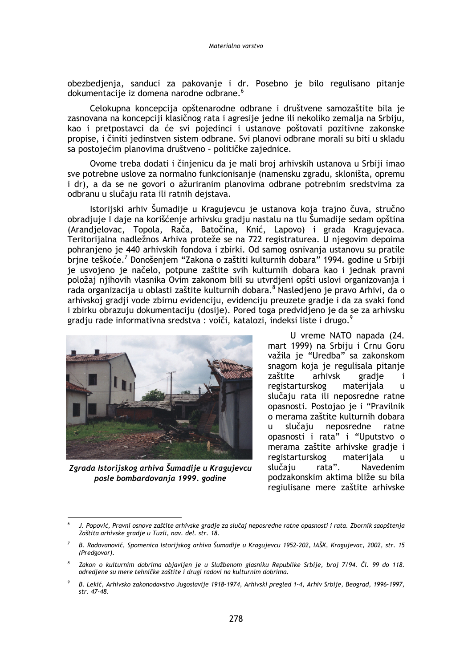obezbedienia, sanduci za pakovanie i dr. Posebno je bilo regulisano pitanie dokumentacije iz domena narodne odbrane.<sup>6</sup>

Celokupna koncepcija opštenarodne odbrane i društvene samozaštite bila je zasnovana na koncepciji klasičnog rata i agresije jedne ili nekoliko zemalja na Srbiju, kao i pretpostavci da će svi pojedinci i ustanove poštovati pozitivne zakonske propise, i činiti jedinstven sistem odbrane. Svi planovi odbrane morali su biti u skladu sa postojećim planovima društveno - političke zajednice.

Ovome treba dodati i činjenicu da je mali broj arhivskih ustanova u Srbiji imao sve potrebne uslove za normalno funkcionisanje (namensku zgradu, skloništa, opremu i dr), a da se ne govori o ažuriranim planovima odbrane potrebnim sredstvima za odbranu u slučaju rata ili ratnih dejstava.

Istorijski arhiv Šumadije u Kragujevcu je ustanova koja trajno čuva, stručno obradjuje I daje na korišćenje arhivsku gradju nastalu na tlu Šumadije sedam opština (Arandjelovac, Topola, Rača, Batočina, Knić, Lapovo) i grada Kragujevaca. Teritorijalna nadležnos Arhiva proteže se na 722 registraturea. U njegovim depoima pohranjeno je 440 arhivskih fondova i zbirki. Od samog osnivanja ustanovu su pratile brine teškoće.<sup>7</sup> Donošenjem "Zakona o zaštiti kulturnih dobara" 1994. godine u Srbiji je usvojeno je načelo, potpune zaštite svih kulturnih dobara kao i jednak pravni položaj njihovih vlasnika Ovim zakonom bili su utvrdjeni opšti uslovi organizovanja i rada organizacija u oblasti zaštite kulturnih dobara.<sup>8</sup> Nasledjeno je pravo Arhivi, da o arhivskoj gradji vode zbirnu evidenciju, evidenciju preuzete gradje i da za svaki fond i zbirku obrazuju dokumentaciju (dosije). Pored toga predvidjeno je da se za arhivsku gradju rade informativna sredstva : voiči, katalozi, indeksi liste i drugo.<sup>9</sup>



Zgrada Istorijskog arhiva Šumadije u Kragujevcu posle bombardovanja 1999. godine

U vreme NATO napada (24. mart 1999) na Srbiju i Crnu Goru važila je "Uredba" sa zakonskom snagom koja je regulisala pitanje arhivsk zaštite gradie i registarturskog materijala  $\mathbf{u}$ slučaju rata ili neposredne ratne opasnosti. Postojao je i "Pravilnik o merama zaštite kulturnih dobara slučaju neposredne  $\mathbf{u}$ ratne opasnosti i rata" i "Uputstvo o merama zaštite arhivske gradje i materijala registarturskog  $\mathbf{H}$ rata". slučaju **Navedenim** podzakonskim aktima bliže su bila regiulisane mere zaštite arhivske

J. Popović, Pravni osnove zaštite arhivske gradje za slučaj neposredne ratne opasnosti i rata. Zbornik saopštenja Zaštita arhivske gradje u Tuzli, nav. del. str. 18.

B. Radovanović, Spomenica Istorijskog arhiva Šumadije u Kragujevcu 1952-202, IAŠK, Kragujevac, 2002, str. 15 (Predgovor).

 $\mathcal{R}$ Zakon o kulturnim dobrima objavljen je u Službenom glasniku Republike Srbije, broj 7/94. Čl. 99 do 118. odredjene su mere tehničke zaštite i drugi radovi na kulturnim dobrima.

B. Lekić, Arhivsko zakonodavstvo Jugoslavije 1918-1974, Arhivski pregled 1-4, Arhiv Srbije, Beograd, 1996-1997, str. 47-48.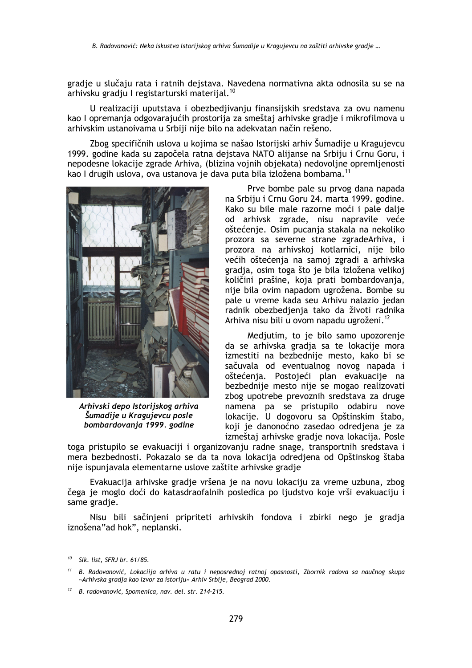gradie u slučaju rata i ratnih dejstava. Navedena normativna akta odnosila su se na arhivsku gradiu I registarturski materijal.<sup>10</sup>

U realizaciji uputstava i obezbedjivanju finansijskih sredstava za ovu namenu kao I opremanja odgovarajućih prostorija za smeštaj arhivske gradje i mikrofilmova u arhivskim ustanoivama u Srbiji nije bilo na adekvatan način rešeno.

Zbog specifičnih uslova u kojima se našao Istorijski arhiv Šumadije u Kragujevcu 1999. godine kada su započela ratna dejstava NATO alijanse na Srbiju i Crnu Goru, i nepodesne lokacije zgrade Arhiva, (blizina vojnih objekata) nedovoljne opremljenosti kao I drugih uslova, ova ustanova je dava puta bila izložena bombama.<sup>11</sup>



Arhivski depo Istorijskog arhiva Šumadije u Kragujevcu posle bombardovanja 1999. godine

Prve bombe pale su prvog dana napada na Srbiju i Crnu Goru 24. marta 1999. godine. Kako su bile male razorne moći i pale dalje od arhivsk zgrade, nisu napravile veće oštećenje. Osim pucanja stakala na nekoliko prozora sa severne strane zgradeArhiva, i prozora na arhivskoj kotlarnici, nije bilo većih oštećenja na samoj zgradi a arhivska gradja, osim toga što je bila izložena velikoj količini prašine, koja prati bombardovanja, nije bila ovim napadom ugrožena. Bombe su pale u vreme kada seu Arhivu nalazio jedan radnik obezbedjenja tako da životi radnika Arhiva nisu bili u ovom napadu ugroženi.<sup>12</sup>

Medjutim, to je bilo samo upozorenje da se arhivska gradia sa te lokacije mora izmestiti na bezbednije mesto, kako bi se sačuvala od eventualnog novog napada i oštećenia. Postojeći plan evakuacije na bezbednije mesto nije se mogao realizovati zbog upotrebe prevoznih sredstava za druge namena pa se pristupilo odabiru nove lokacije. U dogovoru sa Opštinskim štabo, koji je danonoćno zasedao odredjena je za izmeštaj arhivske gradje nova lokacija. Posle

toga pristupilo se evakuaciji i organizovanju radne snage, transportnih sredstava i mera bezbednosti. Pokazalo se da ta nova lokacija odredjena od Opštinskog štaba nije ispunjavala elementarne uslove zaštite arhivske gradje

Evakuacija arhivske gradje vršena je na novu lokaciju za vreme uzbuna, zbog čega je moglo doći do katasdraofalnih posledica po ljudstvo koje vrši evakuaciju i same gradje.

Nisu bili sačinjeni pripriteti arhivskih fondova i zbirki nego je gradja iznošena" ad hok", neplanski.

 $10$  Slk. list, SFRJ br. 61/85.

 $11$ B. Radovanović, Lokaciija arhiva u ratu i neposrednoj ratnoj opasnosti, Zbornik radova sa naučnog skupa «Arhivska gradja kao izvor za istoriju» Arhiv Srbije, Beograd 2000.

<sup>&</sup>lt;sup>12</sup> B. radovanović, Spomenica, nav. del. str. 214-215.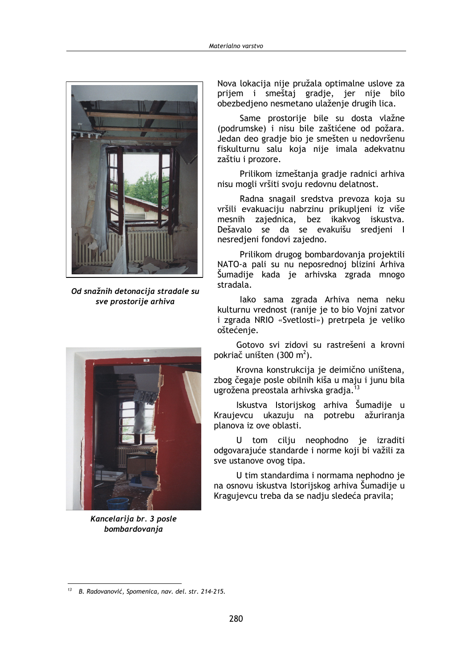

Od snažnih detonacija stradale su sve prostorije arhiva



Kancelarija br. 3 posle bombardovanja

Nova lokacija nije pružala optimalne uslove za prijem i smeštaj gradje, jer nije bilo obezbedieno nesmetano ulaženie drugih lica.

Same prostorije bile su dosta vlažne (podrumske) i nisu bile zaštićene od požara. Jedan deo gradje bio je smešten u nedovršenu fiskulturnu salu koja nije imala adekvatnu zaštiu i prozore.

Prilikom izmeštanja gradje radnici arhiva nisu mogli vršiti svoju redovnu delatnost.

Radna snagail sredstva prevoza koja su vršili evakuaciju nabrzinu prikupljeni iz više mesnih zajednica, bez ikakvog iskustva. Dešavalo se da se evakuišu sredjeni l nesredieni fondovi zajedno.

Prilikom drugog bombardovanja projektili NATO-a pali su nu neposrednoj blizini Arhiva Šumadije kada je arhivska zgrada mnogo stradala.

lako sama zgrada Arhiva nema neku kulturnu vrednost (ranije je to bio Vojni zatvor i zgrada NRIO «Svetlosti») pretrpela je veliko oštećenje.

Gotovo svi zidovi su rastrešeni a krovni pokriač uništen (300 m<sup>2</sup>).

Krovna konstrukcija je deimično uništena, zbog čegaje posle obilnih kiša u maju i junu bila ugrožena preostala arhivska gradia.<sup>13</sup>

Iskustva Istorijskog arhiva Šumadije u Kraujevcu ukazuju na potrebu ažuriranja planova iz ove oblasti.

U tom cilju neophodno je izraditi odgovarajuće standarde i norme koji bi važili za sve ustanove ovog tipa.

U tim standardima i normama nephodno je na osnovu iskustva Istorijskog arhiva Šumadije u Kragujevcu treba da se nadju sledeća pravila;

<sup>&</sup>lt;sup>13</sup> B. Radovanović, Spomenica, nav. del. str. 214-215.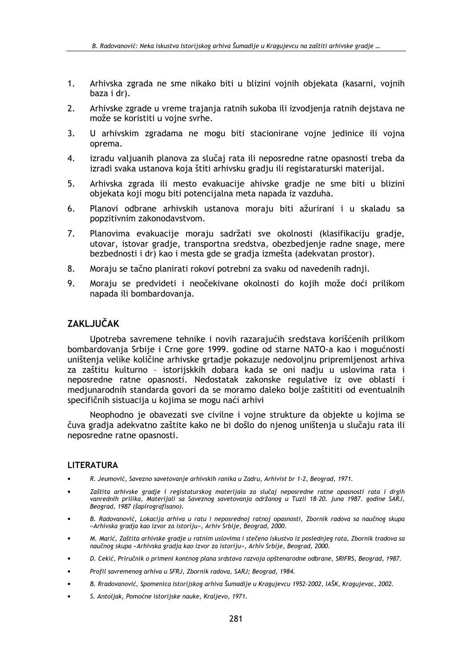- $1<sub>1</sub>$ Arhivska zgrada ne sme nikako biti u blizini vojnih objekata (kasarni, vojnih baza i dr).
- $2.$ Arhivske zgrade u vreme trajanja ratnih sukoba ili izvodjenja ratnih dejstava ne može se koristiti u vojne svrhe.
- $3.$ U arhivskim zgradama ne mogu biti stacionirane vojne jedinice ili vojna oprema.
- izradu valjuanih planova za slučaj rata ili neposredne ratne opasnosti treba da 4. izradi svaka ustanova koja štiti arhivsku gradju ili registaraturski materijal.
- 5. Arhivska zgrada ili mesto evakuacije ahivske gradje ne sme biti u blizini objekata koji mogu biti potencijalna meta napada iz vazduha.
- Planovi odbrane arhivskih ustanova moraju biti ažurirani i u skaladu sa 6. popzitivnim zakonodavstvom.
- Planovima evakuacije moraju sadržati sve okolnosti (klasifikaciju gradje,  $7<sub>1</sub>$ utovar, istovar gradje, transportna sredstva, obezbedjenje radne snage, mere bezbednosti i dr) kao i mesta gde se gradja izmešta (adekvatan prostor).
- 8. Moraju se tačno planirati rokovi potrebni za svaku od navedenih radnji.
- $9<sub>1</sub>$ Moraju se predvideti i neočekivane okolnosti do kojih može doći prilikom napada ili bombardovanja.

## **ZAKLJUČAK**

Upotreba savremene tehnike i novih razarajućih sredstava korišćenih prilikom bombardovanja Srbije i Crne gore 1999. godine od starne NATO-a kao i mogućnosti uništenja velike količine arhivske grtadje pokazuje nedovoljnu pripremljenost arhiva za zaštitu kulturno - istorijskkih dobara kada se oni nadju u uslovima rata i neposredne ratne opasnosti. Nedostatak zakonske regulative iz ove oblasti i medjunarodnih standarda govori da se moramo daleko bolje zaštititi od eventualnih specifičnih sistuacija u kojima se mogu naći arhivi

Neophodno je obavezati sve civilne i vojne strukture da objekte u kojima se čuva gradja adekvatno zaštite kako ne bi došlo do njenog uništenja u slučaju rata ili neposredne ratne opasnosti.

### **LITERATURA**

- R. Jeumović, Savezno savetovanje arhivskih ranika u Zadru, Arhivist br 1-2, Beograd, 1971.
- Zaštita arhivske gradie i registaturskog materijala za slučaj neposredne ratne opasnosti rata i drgih vanrednih prilika, Materijali sa Saveznog savetovanja održanog u Tuzli 18-20. juna 1987. godine SARJ, Beograd, 1987 (šapirografisano).
- B. Radovanović, Lokacija arhiva u ratu i neposrednoj ratnoj opasnosti, Zbornik radova sa naučnog skupa «Arhivska gradja kao izvor za istoriju», Arhiv Srbije, Beograd, 2000.
- M. Marić, Zaštita arhivske gradje u ratnim uslovima i stečeno iskustvo iz poslednjeg rata, Zbornik tradova sa naučnog skupa «Arhivska gradja kao izvor za istoriju», Arhiv Srbije, Beograd, 2000.
- D. Cekić, Priručnik o primeni kontnog plana srdstava razvoja opštenarodne odbrane, SRIFRS, Beograd, 1987.
- Profil savremenog arhiva u SFRJ, Zbornik radova, SARJ; Beograd, 1984,
- B. Rradovanović, Spomenica Istorijskog arhiva Šumadije u Kragujevcu 1952-2002, IAŠK, Kragujevac, 2002.
- S. Antoliak, Pomoćne istorijske nauke, Kralievo, 1971.